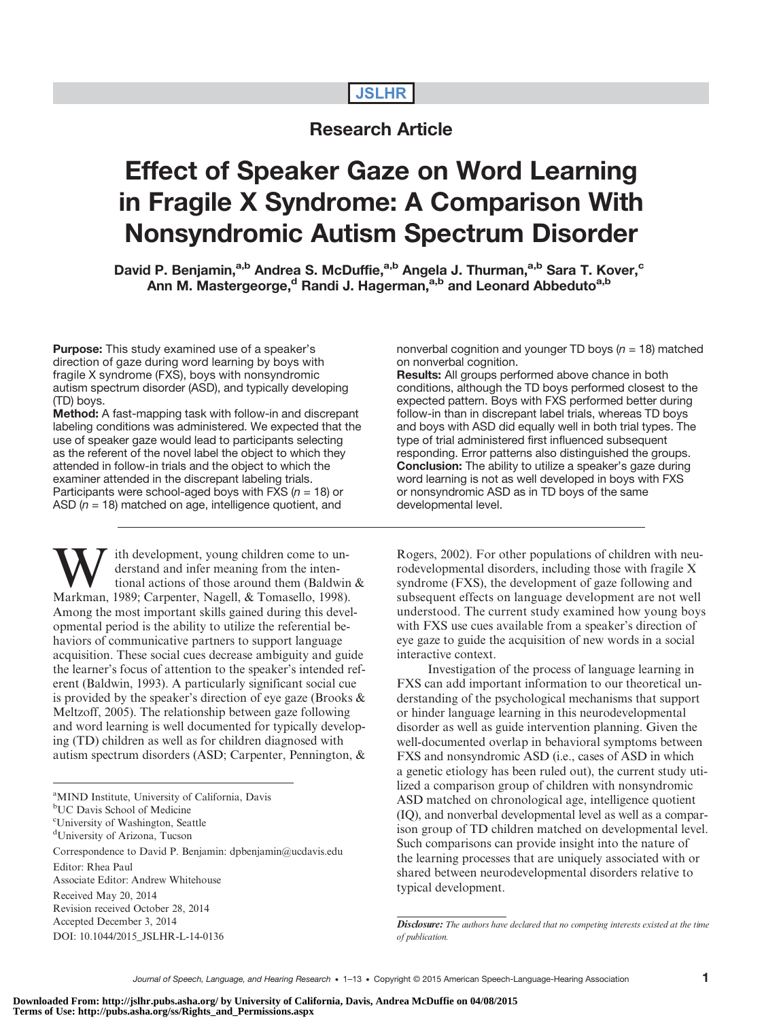# **JSLHR**

# Research Article

# Effect of Speaker Gaze on Word Learning in Fragile X Syndrome: A Comparison With Nonsyndromic Autism Spectrum Disorder

David P. Benjamin,<sup>a,b</sup> Andrea S. McDuffie,<sup>a,b</sup> Angela J. Thurman,<sup>a,b</sup> Sara T. Kover,<sup>c</sup> Ann M. Mastergeorge,<sup>d</sup> Randi J. Hagerman,<sup>a,b</sup> and Leonard Abbeduto<sup>a,b</sup>

Purpose: This study examined use of a speaker's direction of gaze during word learning by boys with fragile X syndrome (FXS), boys with nonsyndromic autism spectrum disorder (ASD), and typically developing (TD) boys.

Method: A fast-mapping task with follow-in and discrepant labeling conditions was administered. We expected that the use of speaker gaze would lead to participants selecting as the referent of the novel label the object to which they attended in follow-in trials and the object to which the examiner attended in the discrepant labeling trials. Participants were school-aged boys with FXS ( $n = 18$ ) or ASD ( $n = 18$ ) matched on age, intelligence quotient, and

ith development, young children come to understand and infer meaning from the intentional actions of those around them (Baldwin & Markman, 1989; Carpenter, Nagell, & Tomasello, 1998). Among the most important skills gained during this developmental period is the ability to utilize the referential behaviors of communicative partners to support language acquisition. These social cues decrease ambiguity and guide the learner's focus of attention to the speaker's intended referent (Baldwin, 1993). A particularly significant social cue is provided by the speaker's direction of eye gaze (Brooks & Meltzoff, 2005). The relationship between gaze following and word learning is well documented for typically developing (TD) children as well as for children diagnosed with autism spectrum disorders (ASD; Carpenter, Pennington, &

Correspondence to David P. Benjamin: dpbenjamin@ucdavis.edu Editor: Rhea Paul Associate Editor: Andrew Whitehouse Received May 20, 2014

Revision received October 28, 2014 Accepted December 3, 2014

DOI: 10.1044/2015\_JSLHR-L-14-0136

nonverbal cognition and younger TD boys ( $n = 18$ ) matched on nonverbal cognition.

Results: All groups performed above chance in both conditions, although the TD boys performed closest to the expected pattern. Boys with FXS performed better during follow-in than in discrepant label trials, whereas TD boys and boys with ASD did equally well in both trial types. The type of trial administered first influenced subsequent responding. Error patterns also distinguished the groups. Conclusion: The ability to utilize a speaker's gaze during word learning is not as well developed in boys with FXS or nonsyndromic ASD as in TD boys of the same developmental level.

Rogers, 2002). For other populations of children with neurodevelopmental disorders, including those with fragile X syndrome (FXS), the development of gaze following and subsequent effects on language development are not well understood. The current study examined how young boys with FXS use cues available from a speaker's direction of eye gaze to guide the acquisition of new words in a social interactive context.

Investigation of the process of language learning in FXS can add important information to our theoretical understanding of the psychological mechanisms that support or hinder language learning in this neurodevelopmental disorder as well as guide intervention planning. Given the well-documented overlap in behavioral symptoms between FXS and nonsyndromic ASD (i.e., cases of ASD in which a genetic etiology has been ruled out), the current study utilized a comparison group of children with nonsyndromic ASD matched on chronological age, intelligence quotient (IQ), and nonverbal developmental level as well as a comparison group of TD children matched on developmental level. Such comparisons can provide insight into the nature of the learning processes that are uniquely associated with or shared between neurodevelopmental disorders relative to typical development.

<sup>&</sup>lt;sup>a</sup>MIND Institute, University of California, Davis

b UC Davis School of Medicine

c University of Washington, Seattle

d University of Arizona, Tucson

**Disclosure:** The authors have declared that no competing interests existed at the time of publication.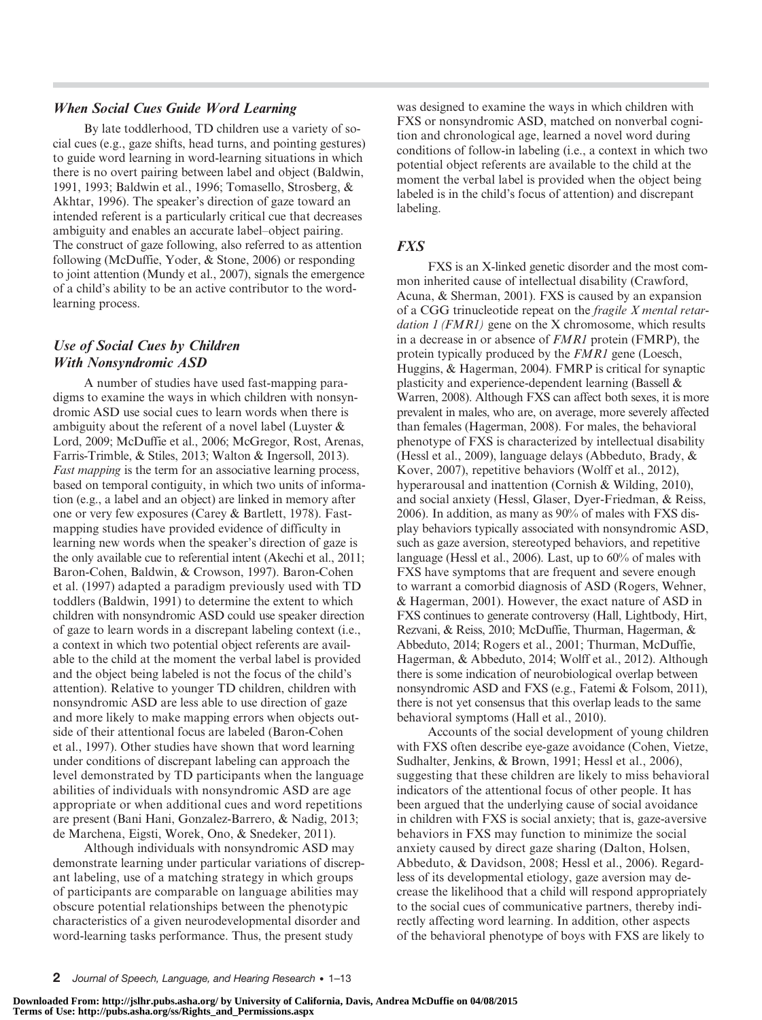## When Social Cues Guide Word Learning

By late toddlerhood, TD children use a variety of social cues (e.g., gaze shifts, head turns, and pointing gestures) to guide word learning in word-learning situations in which there is no overt pairing between label and object (Baldwin, 1991, 1993; Baldwin et al., 1996; Tomasello, Strosberg, & Akhtar, 1996). The speaker's direction of gaze toward an intended referent is a particularly critical cue that decreases ambiguity and enables an accurate label–object pairing. The construct of gaze following, also referred to as attention following (McDuffie, Yoder, & Stone, 2006) or responding to joint attention (Mundy et al., 2007), signals the emergence of a child's ability to be an active contributor to the wordlearning process.

# Use of Social Cues by Children With Nonsyndromic ASD

A number of studies have used fast-mapping paradigms to examine the ways in which children with nonsyndromic ASD use social cues to learn words when there is ambiguity about the referent of a novel label (Luyster & Lord, 2009; McDuffie et al., 2006; McGregor, Rost, Arenas, Farris-Trimble, & Stiles, 2013; Walton & Ingersoll, 2013). Fast mapping is the term for an associative learning process, based on temporal contiguity, in which two units of information (e.g., a label and an object) are linked in memory after one or very few exposures (Carey & Bartlett, 1978). Fastmapping studies have provided evidence of difficulty in learning new words when the speaker's direction of gaze is the only available cue to referential intent (Akechi et al., 2011; Baron-Cohen, Baldwin, & Crowson, 1997). Baron-Cohen et al. (1997) adapted a paradigm previously used with TD toddlers (Baldwin, 1991) to determine the extent to which children with nonsyndromic ASD could use speaker direction of gaze to learn words in a discrepant labeling context (i.e., a context in which two potential object referents are available to the child at the moment the verbal label is provided and the object being labeled is not the focus of the child's attention). Relative to younger TD children, children with nonsyndromic ASD are less able to use direction of gaze and more likely to make mapping errors when objects outside of their attentional focus are labeled (Baron-Cohen et al., 1997). Other studies have shown that word learning under conditions of discrepant labeling can approach the level demonstrated by TD participants when the language abilities of individuals with nonsyndromic ASD are age appropriate or when additional cues and word repetitions are present (Bani Hani, Gonzalez-Barrero, & Nadig, 2013; de Marchena, Eigsti, Worek, Ono, & Snedeker, 2011).

Although individuals with nonsyndromic ASD may demonstrate learning under particular variations of discrepant labeling, use of a matching strategy in which groups of participants are comparable on language abilities may obscure potential relationships between the phenotypic characteristics of a given neurodevelopmental disorder and word-learning tasks performance. Thus, the present study

was designed to examine the ways in which children with FXS or nonsyndromic ASD, matched on nonverbal cognition and chronological age, learned a novel word during conditions of follow-in labeling (i.e., a context in which two potential object referents are available to the child at the moment the verbal label is provided when the object being labeled is in the child's focus of attention) and discrepant labeling.

# FXS

FXS is an X-linked genetic disorder and the most common inherited cause of intellectual disability (Crawford, Acuna, & Sherman, 2001). FXS is caused by an expansion of a CGG trinucleotide repeat on the fragile X mental retardation  $1$  (FMR1) gene on the X chromosome, which results in a decrease in or absence of FMR1 protein (FMRP), the protein typically produced by the FMR1 gene (Loesch, Huggins, & Hagerman, 2004). FMRP is critical for synaptic plasticity and experience-dependent learning (Bassell & Warren, 2008). Although FXS can affect both sexes, it is more prevalent in males, who are, on average, more severely affected than females (Hagerman, 2008). For males, the behavioral phenotype of FXS is characterized by intellectual disability (Hessl et al., 2009), language delays (Abbeduto, Brady, & Kover, 2007), repetitive behaviors (Wolff et al., 2012), hyperarousal and inattention (Cornish & Wilding, 2010), and social anxiety (Hessl, Glaser, Dyer-Friedman, & Reiss, 2006). In addition, as many as 90% of males with FXS display behaviors typically associated with nonsyndromic ASD, such as gaze aversion, stereotyped behaviors, and repetitive language (Hessl et al., 2006). Last, up to 60% of males with FXS have symptoms that are frequent and severe enough to warrant a comorbid diagnosis of ASD (Rogers, Wehner, & Hagerman, 2001). However, the exact nature of ASD in FXS continues to generate controversy (Hall, Lightbody, Hirt, Rezvani, & Reiss, 2010; McDuffie, Thurman, Hagerman, & Abbeduto, 2014; Rogers et al., 2001; Thurman, McDuffie, Hagerman, & Abbeduto, 2014; Wolff et al., 2012). Although there is some indication of neurobiological overlap between nonsyndromic ASD and FXS (e.g., Fatemi & Folsom, 2011), there is not yet consensus that this overlap leads to the same behavioral symptoms (Hall et al., 2010).

Accounts of the social development of young children with FXS often describe eye-gaze avoidance (Cohen, Vietze, Sudhalter, Jenkins, & Brown, 1991; Hessl et al., 2006), suggesting that these children are likely to miss behavioral indicators of the attentional focus of other people. It has been argued that the underlying cause of social avoidance in children with FXS is social anxiety; that is, gaze-aversive behaviors in FXS may function to minimize the social anxiety caused by direct gaze sharing (Dalton, Holsen, Abbeduto, & Davidson, 2008; Hessl et al., 2006). Regardless of its developmental etiology, gaze aversion may decrease the likelihood that a child will respond appropriately to the social cues of communicative partners, thereby indirectly affecting word learning. In addition, other aspects of the behavioral phenotype of boys with FXS are likely to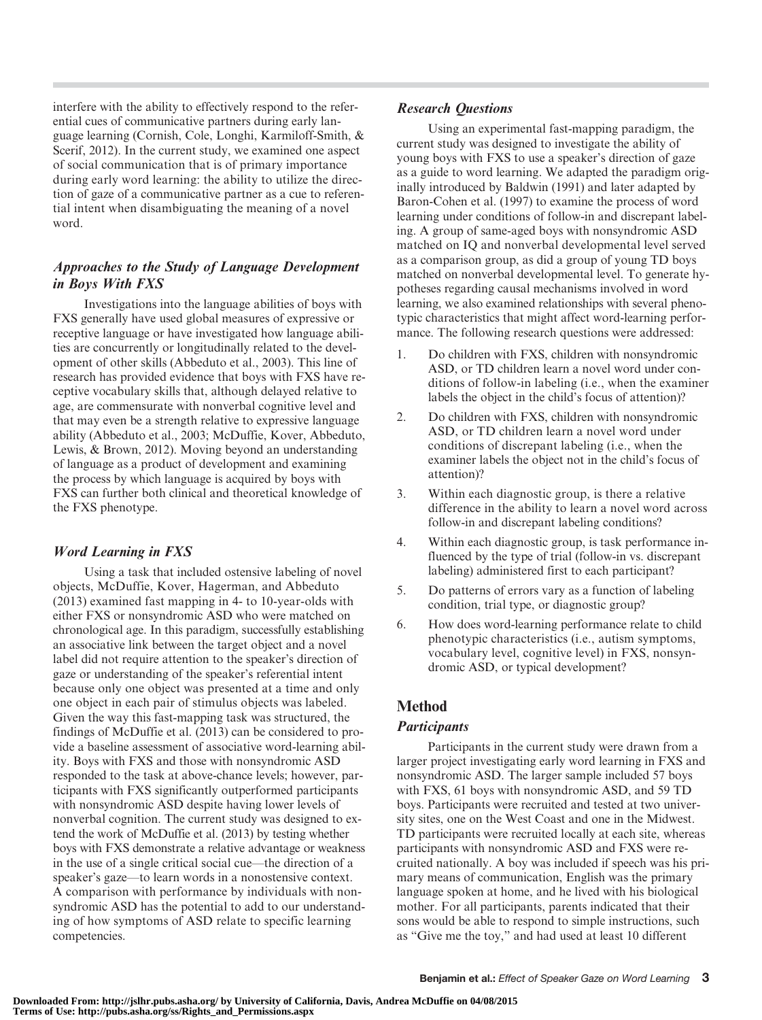interfere with the ability to effectively respond to the referential cues of communicative partners during early language learning (Cornish, Cole, Longhi, Karmiloff-Smith, & Scerif, 2012). In the current study, we examined one aspect of social communication that is of primary importance during early word learning: the ability to utilize the direction of gaze of a communicative partner as a cue to referential intent when disambiguating the meaning of a novel word.

# Approaches to the Study of Language Development in Boys With FXS

Investigations into the language abilities of boys with FXS generally have used global measures of expressive or receptive language or have investigated how language abilities are concurrently or longitudinally related to the development of other skills (Abbeduto et al., 2003). This line of research has provided evidence that boys with FXS have receptive vocabulary skills that, although delayed relative to age, are commensurate with nonverbal cognitive level and that may even be a strength relative to expressive language ability (Abbeduto et al., 2003; McDuffie, Kover, Abbeduto, Lewis, & Brown, 2012). Moving beyond an understanding of language as a product of development and examining the process by which language is acquired by boys with FXS can further both clinical and theoretical knowledge of the FXS phenotype.

# Word Learning in FXS

Using a task that included ostensive labeling of novel objects, McDuffie, Kover, Hagerman, and Abbeduto (2013) examined fast mapping in 4- to 10-year-olds with either FXS or nonsyndromic ASD who were matched on chronological age. In this paradigm, successfully establishing an associative link between the target object and a novel label did not require attention to the speaker's direction of gaze or understanding of the speaker's referential intent because only one object was presented at a time and only one object in each pair of stimulus objects was labeled. Given the way this fast-mapping task was structured, the findings of McDuffie et al. (2013) can be considered to provide a baseline assessment of associative word-learning ability. Boys with FXS and those with nonsyndromic ASD responded to the task at above-chance levels; however, participants with FXS significantly outperformed participants with nonsyndromic ASD despite having lower levels of nonverbal cognition. The current study was designed to extend the work of McDuffie et al. (2013) by testing whether boys with FXS demonstrate a relative advantage or weakness in the use of a single critical social cue—the direction of a speaker's gaze—to learn words in a nonostensive context. A comparison with performance by individuals with nonsyndromic ASD has the potential to add to our understanding of how symptoms of ASD relate to specific learning competencies.

# Research Questions

Using an experimental fast-mapping paradigm, the current study was designed to investigate the ability of young boys with FXS to use a speaker's direction of gaze as a guide to word learning. We adapted the paradigm originally introduced by Baldwin (1991) and later adapted by Baron-Cohen et al. (1997) to examine the process of word learning under conditions of follow-in and discrepant labeling. A group of same-aged boys with nonsyndromic ASD matched on IQ and nonverbal developmental level served as a comparison group, as did a group of young TD boys matched on nonverbal developmental level. To generate hypotheses regarding causal mechanisms involved in word learning, we also examined relationships with several phenotypic characteristics that might affect word-learning performance. The following research questions were addressed:

- 1. Do children with FXS, children with nonsyndromic ASD, or TD children learn a novel word under conditions of follow-in labeling (i.e., when the examiner labels the object in the child's focus of attention)?
- 2. Do children with FXS, children with nonsyndromic ASD, or TD children learn a novel word under conditions of discrepant labeling (i.e., when the examiner labels the object not in the child's focus of attention)?
- 3. Within each diagnostic group, is there a relative difference in the ability to learn a novel word across follow-in and discrepant labeling conditions?
- 4. Within each diagnostic group, is task performance influenced by the type of trial (follow-in vs. discrepant labeling) administered first to each participant?
- 5. Do patterns of errors vary as a function of labeling condition, trial type, or diagnostic group?
- 6. How does word-learning performance relate to child phenotypic characteristics (i.e., autism symptoms, vocabulary level, cognitive level) in FXS, nonsyndromic ASD, or typical development?

# Method

# **Participants**

Participants in the current study were drawn from a larger project investigating early word learning in FXS and nonsyndromic ASD. The larger sample included 57 boys with FXS, 61 boys with nonsyndromic ASD, and 59 TD boys. Participants were recruited and tested at two university sites, one on the West Coast and one in the Midwest. TD participants were recruited locally at each site, whereas participants with nonsyndromic ASD and FXS were recruited nationally. A boy was included if speech was his primary means of communication, English was the primary language spoken at home, and he lived with his biological mother. For all participants, parents indicated that their sons would be able to respond to simple instructions, such as "Give me the toy," and had used at least 10 different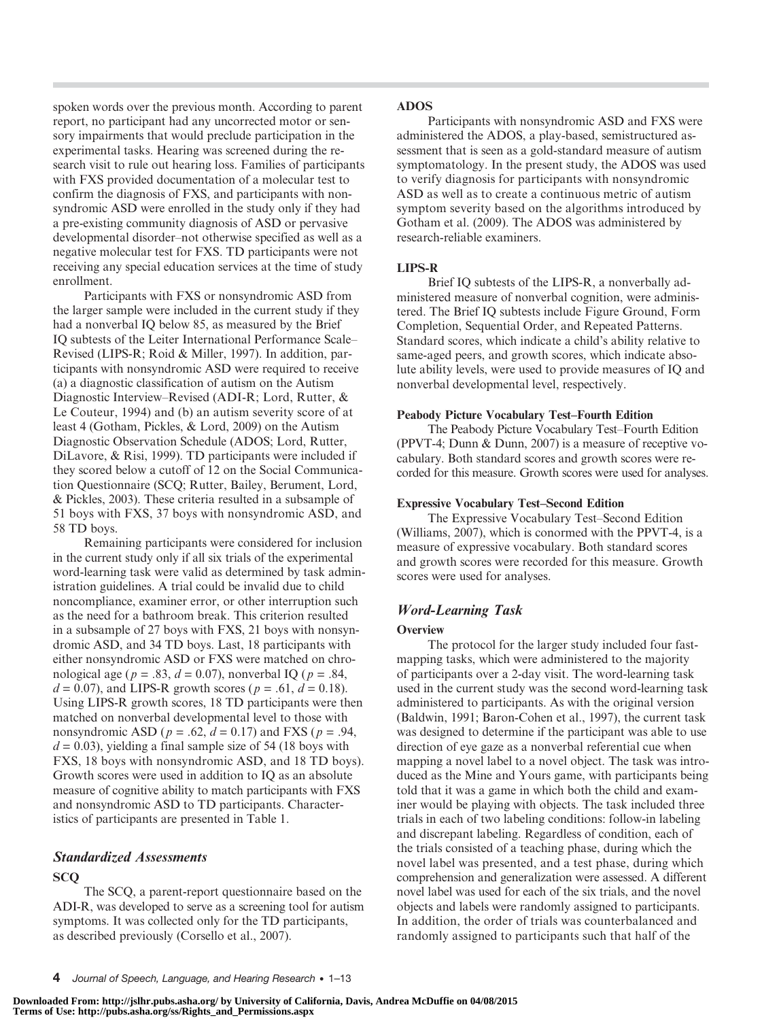spoken words over the previous month. According to parent report, no participant had any uncorrected motor or sensory impairments that would preclude participation in the experimental tasks. Hearing was screened during the research visit to rule out hearing loss. Families of participants with FXS provided documentation of a molecular test to confirm the diagnosis of FXS, and participants with nonsyndromic ASD were enrolled in the study only if they had a pre-existing community diagnosis of ASD or pervasive developmental disorder–not otherwise specified as well as a negative molecular test for FXS. TD participants were not receiving any special education services at the time of study enrollment.

Participants with FXS or nonsyndromic ASD from the larger sample were included in the current study if they had a nonverbal IQ below 85, as measured by the Brief IQ subtests of the Leiter International Performance Scale– Revised (LIPS-R; Roid & Miller, 1997). In addition, participants with nonsyndromic ASD were required to receive (a) a diagnostic classification of autism on the Autism Diagnostic Interview–Revised (ADI-R; Lord, Rutter, & Le Couteur, 1994) and (b) an autism severity score of at least 4 (Gotham, Pickles, & Lord, 2009) on the Autism Diagnostic Observation Schedule (ADOS; Lord, Rutter, DiLavore, & Risi, 1999). TD participants were included if they scored below a cutoff of 12 on the Social Communication Questionnaire (SCQ; Rutter, Bailey, Berument, Lord, & Pickles, 2003). These criteria resulted in a subsample of 51 boys with FXS, 37 boys with nonsyndromic ASD, and 58 TD boys.

Remaining participants were considered for inclusion in the current study only if all six trials of the experimental word-learning task were valid as determined by task administration guidelines. A trial could be invalid due to child noncompliance, examiner error, or other interruption such as the need for a bathroom break. This criterion resulted in a subsample of 27 boys with FXS, 21 boys with nonsyndromic ASD, and 34 TD boys. Last, 18 participants with either nonsyndromic ASD or FXS were matched on chronological age ( $p = .83$ ,  $d = 0.07$ ), nonverbal IQ ( $p = .84$ ,  $d = 0.07$ , and LIPS-R growth scores ( $p = .61, d = 0.18$ ). Using LIPS-R growth scores, 18 TD participants were then matched on nonverbal developmental level to those with nonsyndromic ASD ( $p = .62$ ,  $d = 0.17$ ) and FXS ( $p = .94$ ,  $d = 0.03$ ), yielding a final sample size of 54 (18 boys with FXS, 18 boys with nonsyndromic ASD, and 18 TD boys). Growth scores were used in addition to IQ as an absolute measure of cognitive ability to match participants with FXS and nonsyndromic ASD to TD participants. Characteristics of participants are presented in Table 1.

# Standardized Assessments

# **SCO**

The SCQ, a parent-report questionnaire based on the ADI-R, was developed to serve as a screening tool for autism symptoms. It was collected only for the TD participants, as described previously (Corsello et al., 2007).

## ADOS

Participants with nonsyndromic ASD and FXS were administered the ADOS, a play-based, semistructured assessment that is seen as a gold-standard measure of autism symptomatology. In the present study, the ADOS was used to verify diagnosis for participants with nonsyndromic ASD as well as to create a continuous metric of autism symptom severity based on the algorithms introduced by Gotham et al. (2009). The ADOS was administered by research-reliable examiners.

# LIPS-R

Brief IQ subtests of the LIPS-R, a nonverbally administered measure of nonverbal cognition, were administered. The Brief IQ subtests include Figure Ground, Form Completion, Sequential Order, and Repeated Patterns. Standard scores, which indicate a child's ability relative to same-aged peers, and growth scores, which indicate absolute ability levels, were used to provide measures of IQ and nonverbal developmental level, respectively.

#### Peabody Picture Vocabulary Test–Fourth Edition

The Peabody Picture Vocabulary Test–Fourth Edition (PPVT-4; Dunn & Dunn, 2007) is a measure of receptive vocabulary. Both standard scores and growth scores were recorded for this measure. Growth scores were used for analyses.

#### Expressive Vocabulary Test–Second Edition

The Expressive Vocabulary Test–Second Edition (Williams, 2007), which is conormed with the PPVT-4, is a measure of expressive vocabulary. Both standard scores and growth scores were recorded for this measure. Growth scores were used for analyses.

# Word-Learning Task

## **Overview**

The protocol for the larger study included four fastmapping tasks, which were administered to the majority of participants over a 2-day visit. The word-learning task used in the current study was the second word-learning task administered to participants. As with the original version (Baldwin, 1991; Baron-Cohen et al., 1997), the current task was designed to determine if the participant was able to use direction of eye gaze as a nonverbal referential cue when mapping a novel label to a novel object. The task was introduced as the Mine and Yours game, with participants being told that it was a game in which both the child and examiner would be playing with objects. The task included three trials in each of two labeling conditions: follow-in labeling and discrepant labeling. Regardless of condition, each of the trials consisted of a teaching phase, during which the novel label was presented, and a test phase, during which comprehension and generalization were assessed. A different novel label was used for each of the six trials, and the novel objects and labels were randomly assigned to participants. In addition, the order of trials was counterbalanced and randomly assigned to participants such that half of the

<sup>4</sup> Journal of Speech, Language, and Hearing Research • 1–13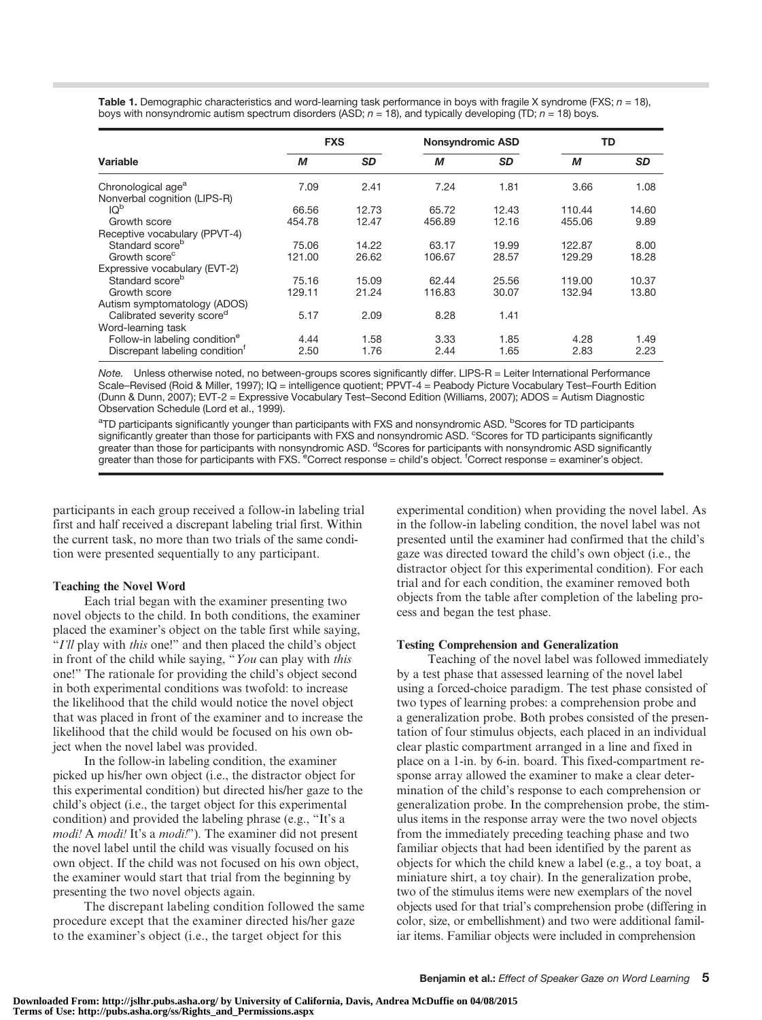Table 1. Demographic characteristics and word-learning task performance in boys with fragile X syndrome (FXS;  $n = 18$ ), boys with nonsyndromic autism spectrum disorders (ASD;  $n = 18$ ), and typically developing (TD;  $n = 18$ ) boys.

|                                                                | <b>FXS</b> |           | <b>Nonsyndromic ASD</b> |           | TD     |           |
|----------------------------------------------------------------|------------|-----------|-------------------------|-----------|--------|-----------|
| Variable                                                       | М          | <b>SD</b> | M                       | <b>SD</b> | М      | <b>SD</b> |
| Chronological age <sup>a</sup><br>Nonverbal cognition (LIPS-R) | 7.09       | 2.41      | 7.24                    | 1.81      | 3.66   | 1.08      |
| IO <sub>p</sub>                                                | 66.56      | 12.73     | 65.72                   | 12.43     | 110.44 | 14.60     |
| Growth score                                                   | 454.78     | 12.47     | 456.89                  | 12.16     | 455.06 | 9.89      |
| Receptive vocabulary (PPVT-4)                                  |            |           |                         |           |        |           |
| Standard score <sup>b</sup>                                    | 75.06      | 14.22     | 63.17                   | 19.99     | 122.87 | 8.00      |
| Growth score <sup>c</sup>                                      | 121.00     | 26.62     | 106.67                  | 28.57     | 129.29 | 18.28     |
| Expressive vocabulary (EVT-2)                                  |            |           |                         |           |        |           |
| Standard score <sup>b</sup>                                    | 75.16      | 15.09     | 62.44                   | 25.56     | 119.00 | 10.37     |
| Growth score                                                   | 129.11     | 21.24     | 116.83                  | 30.07     | 132.94 | 13.80     |
| Autism symptomatology (ADOS)                                   |            |           |                         |           |        |           |
| Calibrated severity score <sup>d</sup>                         | 5.17       | 2.09      | 8.28                    | 1.41      |        |           |
| Word-learning task                                             |            |           |                         |           |        |           |
| Follow-in labeling condition <sup>e</sup>                      | 4.44       | 1.58      | 3.33                    | 1.85      | 4.28   | 1.49      |
| Discrepant labeling condition <sup>t</sup>                     | 2.50       | 1.76      | 2.44                    | 1.65      | 2.83   | 2.23      |

Note. Unless otherwise noted, no between-groups scores significantly differ. LIPS-R = Leiter International Performance Scale–Revised (Roid & Miller, 1997); IQ = intelligence quotient; PPVT-4 = Peabody Picture Vocabulary Test–Fourth Edition (Dunn & Dunn, 2007); EVT-2 = Expressive Vocabulary Test–Second Edition (Williams, 2007); ADOS = Autism Diagnostic Observation Schedule (Lord et al., 1999).

<sup>a</sup>TD participants significantly younger than participants with FXS and nonsyndromic ASD. <sup>b</sup>Scores for TD participants significantly greater than those for participants with FXS and nonsyndromic ASD. CScores for TD participants significantly greater than those for participants with nonsyndromic ASD. <sup>d</sup>Scores for participants with nonsyndromic ASD significantly greater than those for participants with FXS. <sup>e</sup>Correct response = child's object. <sup>f</sup>Correct response = examiner's object.

participants in each group received a follow-in labeling trial first and half received a discrepant labeling trial first. Within the current task, no more than two trials of the same condition were presented sequentially to any participant.

#### Teaching the Novel Word

Each trial began with the examiner presenting two novel objects to the child. In both conditions, the examiner placed the examiner's object on the table first while saying, "I'll play with this one!" and then placed the child's object in front of the child while saying, "You can play with this one!" The rationale for providing the child's object second in both experimental conditions was twofold: to increase the likelihood that the child would notice the novel object that was placed in front of the examiner and to increase the likelihood that the child would be focused on his own object when the novel label was provided.

In the follow-in labeling condition, the examiner picked up his/her own object (i.e., the distractor object for this experimental condition) but directed his/her gaze to the child's object (i.e., the target object for this experimental condition) and provided the labeling phrase (e.g., "It's a modi! A modi! It's a modi!"). The examiner did not present the novel label until the child was visually focused on his own object. If the child was not focused on his own object, the examiner would start that trial from the beginning by presenting the two novel objects again.

The discrepant labeling condition followed the same procedure except that the examiner directed his/her gaze to the examiner's object (i.e., the target object for this

experimental condition) when providing the novel label. As in the follow-in labeling condition, the novel label was not presented until the examiner had confirmed that the child's gaze was directed toward the child's own object (i.e., the distractor object for this experimental condition). For each trial and for each condition, the examiner removed both objects from the table after completion of the labeling process and began the test phase.

#### Testing Comprehension and Generalization

Teaching of the novel label was followed immediately by a test phase that assessed learning of the novel label using a forced-choice paradigm. The test phase consisted of two types of learning probes: a comprehension probe and a generalization probe. Both probes consisted of the presentation of four stimulus objects, each placed in an individual clear plastic compartment arranged in a line and fixed in place on a 1-in. by 6-in. board. This fixed-compartment response array allowed the examiner to make a clear determination of the child's response to each comprehension or generalization probe. In the comprehension probe, the stimulus items in the response array were the two novel objects from the immediately preceding teaching phase and two familiar objects that had been identified by the parent as objects for which the child knew a label (e.g., a toy boat, a miniature shirt, a toy chair). In the generalization probe, two of the stimulus items were new exemplars of the novel objects used for that trial's comprehension probe (differing in color, size, or embellishment) and two were additional familiar items. Familiar objects were included in comprehension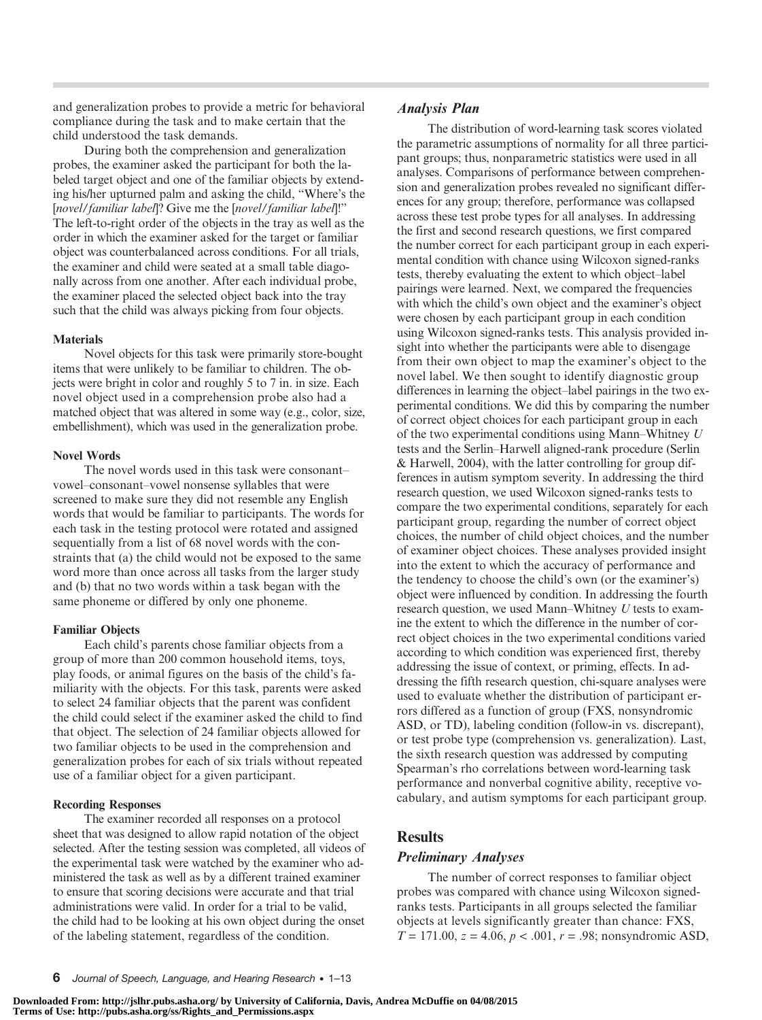and generalization probes to provide a metric for behavioral compliance during the task and to make certain that the child understood the task demands.

During both the comprehension and generalization probes, the examiner asked the participant for both the labeled target object and one of the familiar objects by extending his/her upturned palm and asking the child, "Where's the [novel/familiar label]? Give me the [novel/familiar label]!" The left-to-right order of the objects in the tray as well as the order in which the examiner asked for the target or familiar object was counterbalanced across conditions. For all trials, the examiner and child were seated at a small table diagonally across from one another. After each individual probe, the examiner placed the selected object back into the tray such that the child was always picking from four objects.

#### **Materials**

Novel objects for this task were primarily store-bought items that were unlikely to be familiar to children. The objects were bright in color and roughly 5 to 7 in. in size. Each novel object used in a comprehension probe also had a matched object that was altered in some way (e.g., color, size, embellishment), which was used in the generalization probe.

#### Novel Words

The novel words used in this task were consonant– vowel–consonant–vowel nonsense syllables that were screened to make sure they did not resemble any English words that would be familiar to participants. The words for each task in the testing protocol were rotated and assigned sequentially from a list of 68 novel words with the constraints that (a) the child would not be exposed to the same word more than once across all tasks from the larger study and (b) that no two words within a task began with the same phoneme or differed by only one phoneme.

#### Familiar Objects

Each child's parents chose familiar objects from a group of more than 200 common household items, toys, play foods, or animal figures on the basis of the child's familiarity with the objects. For this task, parents were asked to select 24 familiar objects that the parent was confident the child could select if the examiner asked the child to find that object. The selection of 24 familiar objects allowed for two familiar objects to be used in the comprehension and generalization probes for each of six trials without repeated use of a familiar object for a given participant.

#### Recording Responses

The examiner recorded all responses on a protocol sheet that was designed to allow rapid notation of the object selected. After the testing session was completed, all videos of the experimental task were watched by the examiner who administered the task as well as by a different trained examiner to ensure that scoring decisions were accurate and that trial administrations were valid. In order for a trial to be valid, the child had to be looking at his own object during the onset of the labeling statement, regardless of the condition.

## Analysis Plan

The distribution of word-learning task scores violated the parametric assumptions of normality for all three participant groups; thus, nonparametric statistics were used in all analyses. Comparisons of performance between comprehension and generalization probes revealed no significant differences for any group; therefore, performance was collapsed across these test probe types for all analyses. In addressing the first and second research questions, we first compared the number correct for each participant group in each experimental condition with chance using Wilcoxon signed-ranks tests, thereby evaluating the extent to which object–label pairings were learned. Next, we compared the frequencies with which the child's own object and the examiner's object were chosen by each participant group in each condition using Wilcoxon signed-ranks tests. This analysis provided insight into whether the participants were able to disengage from their own object to map the examiner's object to the novel label. We then sought to identify diagnostic group differences in learning the object–label pairings in the two experimental conditions. We did this by comparing the number of correct object choices for each participant group in each of the two experimental conditions using Mann–Whitney U tests and the Serlin–Harwell aligned-rank procedure (Serlin & Harwell, 2004), with the latter controlling for group differences in autism symptom severity. In addressing the third research question, we used Wilcoxon signed-ranks tests to compare the two experimental conditions, separately for each participant group, regarding the number of correct object choices, the number of child object choices, and the number of examiner object choices. These analyses provided insight into the extent to which the accuracy of performance and the tendency to choose the child's own (or the examiner's) object were influenced by condition. In addressing the fourth research question, we used Mann–Whitney U tests to examine the extent to which the difference in the number of correct object choices in the two experimental conditions varied according to which condition was experienced first, thereby addressing the issue of context, or priming, effects. In addressing the fifth research question, chi-square analyses were used to evaluate whether the distribution of participant errors differed as a function of group (FXS, nonsyndromic ASD, or TD), labeling condition (follow-in vs. discrepant), or test probe type (comprehension vs. generalization). Last, the sixth research question was addressed by computing Spearman's rho correlations between word-learning task performance and nonverbal cognitive ability, receptive vocabulary, and autism symptoms for each participant group.

## Results

#### Preliminary Analyses

The number of correct responses to familiar object probes was compared with chance using Wilcoxon signedranks tests. Participants in all groups selected the familiar objects at levels significantly greater than chance: FXS,  $T = 171.00$ ,  $z = 4.06$ ,  $p < .001$ ,  $r = .98$ ; nonsyndromic ASD,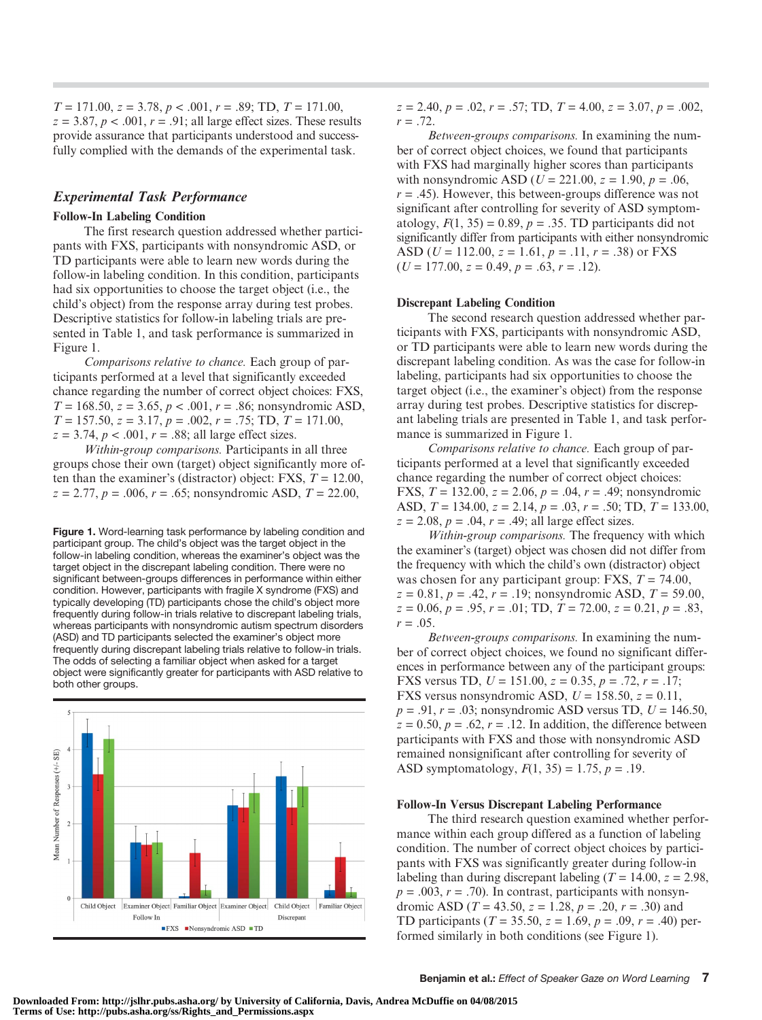$T = 171.00, z = 3.78, p < .001, r = .89; TD, T = 171.00,$  $z = 3.87$ ,  $p < .001$ ,  $r = .91$ ; all large effect sizes. These results provide assurance that participants understood and successfully complied with the demands of the experimental task.

## Experimental Task Performance

#### Follow-In Labeling Condition

The first research question addressed whether participants with FXS, participants with nonsyndromic ASD, or TD participants were able to learn new words during the follow-in labeling condition. In this condition, participants had six opportunities to choose the target object (i.e., the child's object) from the response array during test probes. Descriptive statistics for follow-in labeling trials are presented in Table 1, and task performance is summarized in Figure 1.

Comparisons relative to chance. Each group of participants performed at a level that significantly exceeded chance regarding the number of correct object choices: FXS,  $T = 168.50$ ,  $z = 3.65$ ,  $p < .001$ ,  $r = .86$ ; nonsyndromic ASD,  $T = 157.50$ ,  $z = 3.17$ ,  $p = .002$ ,  $r = .75$ ; TD,  $T = 171.00$ ,  $z = 3.74$ ,  $p < .001$ ,  $r = .88$ ; all large effect sizes.

Within-group comparisons. Participants in all three groups chose their own (target) object significantly more often than the examiner's (distractor) object: FXS,  $T = 12.00$ ,  $z = 2.77$ ,  $p = .006$ ,  $r = .65$ ; nonsyndromic ASD,  $T = 22.00$ ,

Figure 1. Word-learning task performance by labeling condition and participant group. The child's object was the target object in the follow-in labeling condition, whereas the examiner's object was the target object in the discrepant labeling condition. There were no significant between-groups differences in performance within either condition. However, participants with fragile X syndrome (FXS) and typically developing (TD) participants chose the child's object more frequently during follow-in trials relative to discrepant labeling trials, whereas participants with nonsyndromic autism spectrum disorders (ASD) and TD participants selected the examiner's object more frequently during discrepant labeling trials relative to follow-in trials. The odds of selecting a familiar object when asked for a target object were significantly greater for participants with ASD relative to both other groups.



 $z = 2.40, p = .02, r = .57; TD, T = 4.00, z = 3.07, p = .002,$  $r = .72$ .

Between-groups comparisons. In examining the number of correct object choices, we found that participants with FXS had marginally higher scores than participants with nonsyndromic ASD ( $U = 221.00$ ,  $z = 1.90$ ,  $p = .06$ ,  $r = .45$ ). However, this between-groups difference was not significant after controlling for severity of ASD symptomatology,  $F(1, 35) = 0.89$ ,  $p = .35$ . TD participants did not significantly differ from participants with either nonsyndromic ASD ( $U = 112.00$ ,  $z = 1.61$ ,  $p = .11$ ,  $r = .38$ ) or FXS  $(U = 177.00, z = 0.49, p = .63, r = .12).$ 

#### Discrepant Labeling Condition

The second research question addressed whether participants with FXS, participants with nonsyndromic ASD, or TD participants were able to learn new words during the discrepant labeling condition. As was the case for follow-in labeling, participants had six opportunities to choose the target object (i.e., the examiner's object) from the response array during test probes. Descriptive statistics for discrepant labeling trials are presented in Table 1, and task performance is summarized in Figure 1.

Comparisons relative to chance. Each group of participants performed at a level that significantly exceeded chance regarding the number of correct object choices: FXS,  $T = 132.00$ ,  $z = 2.06$ ,  $p = .04$ ,  $r = .49$ ; nonsyndromic ASD,  $T = 134.00$ ,  $z = 2.14$ ,  $p = .03$ ,  $r = .50$ ; TD,  $T = 133.00$ ,  $z = 2.08$ ,  $p = .04$ ,  $r = .49$ ; all large effect sizes.

Within-group comparisons. The frequency with which the examiner's (target) object was chosen did not differ from the frequency with which the child's own (distractor) object was chosen for any participant group: FXS,  $T = 74.00$ ,  $z = 0.81$ ,  $p = .42$ ,  $r = .19$ ; nonsyndromic ASD,  $T = 59.00$ ,  $z = 0.06$ ,  $p = .95$ ,  $r = .01$ ; TD,  $T = 72.00$ ,  $z = 0.21$ ,  $p = .83$ ,  $r = .05$ .

Between-groups comparisons. In examining the number of correct object choices, we found no significant differences in performance between any of the participant groups: FXS versus TD,  $U = 151.00$ ,  $z = 0.35$ ,  $p = .72$ ,  $r = .17$ ; FXS versus nonsyndromic ASD,  $U = 158.50$ ,  $z = 0.11$ ,  $p = .91, r = .03$ ; nonsyndromic ASD versus TD,  $U = 146.50$ ,  $z = 0.50$ ,  $p = .62$ ,  $r = .12$ . In addition, the difference between participants with FXS and those with nonsyndromic ASD remained nonsignificant after controlling for severity of ASD symptomatology,  $F(1, 35) = 1.75$ ,  $p = .19$ .

#### Follow-In Versus Discrepant Labeling Performance

The third research question examined whether performance within each group differed as a function of labeling condition. The number of correct object choices by participants with FXS was significantly greater during follow-in labeling than during discrepant labeling ( $T = 14.00$ ,  $z = 2.98$ ,  $p = .003$ ,  $r = .70$ ). In contrast, participants with nonsyndromic ASD ( $T = 43.50$ ,  $z = 1.28$ ,  $p = .20$ ,  $r = .30$ ) and TD participants ( $T = 35.50$ ,  $z = 1.69$ ,  $p = .09$ ,  $r = .40$ ) performed similarly in both conditions (see Figure 1).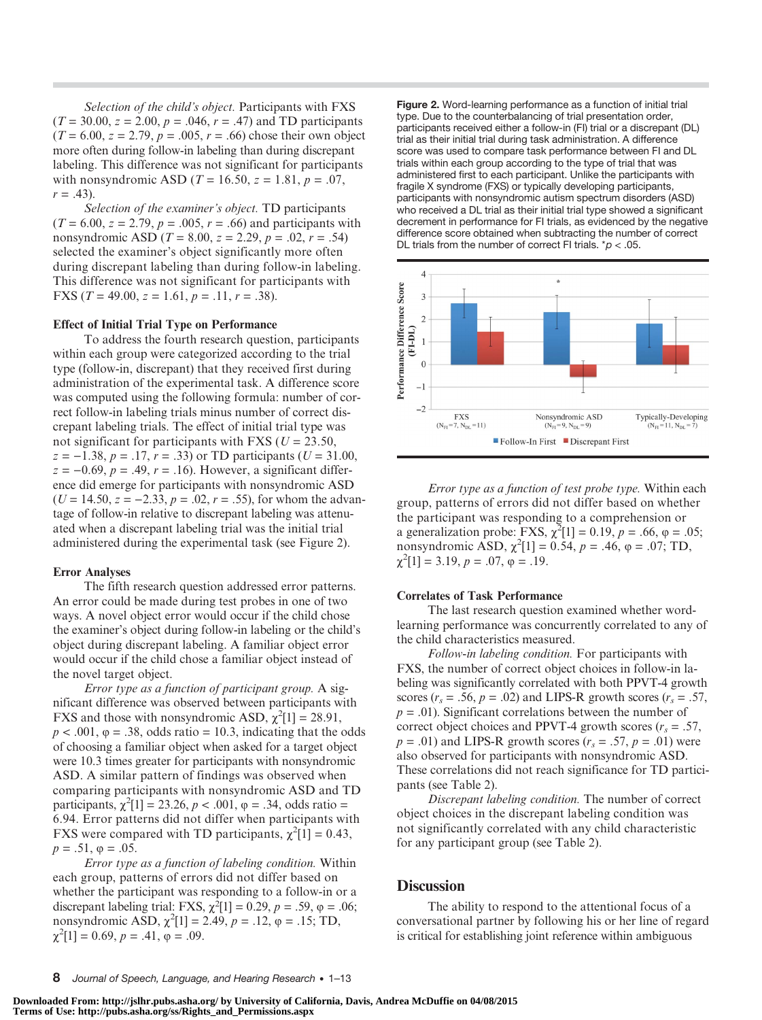Selection of the child's object. Participants with FXS  $(T = 30.00, z = 2.00, p = .046, r = .47)$  and TD participants  $(T = 6.00, z = 2.79, p = .005, r = .66)$  chose their own object more often during follow-in labeling than during discrepant labeling. This difference was not significant for participants with nonsyndromic ASD ( $T = 16.50$ ,  $z = 1.81$ ,  $p = .07$ ,  $r = .43$ ).

Selection of the examiner's object. TD participants  $(T = 6.00, z = 2.79, p = .005, r = .66)$  and participants with nonsyndromic ASD ( $T = 8.00$ ,  $z = 2.29$ ,  $p = .02$ ,  $r = .54$ ) selected the examiner's object significantly more often during discrepant labeling than during follow-in labeling. This difference was not significant for participants with FXS (T = 49.00,  $z = 1.61$ ,  $p = .11$ ,  $r = .38$ ).

#### Effect of Initial Trial Type on Performance

To address the fourth research question, participants within each group were categorized according to the trial type (follow-in, discrepant) that they received first during administration of the experimental task. A difference score was computed using the following formula: number of correct follow-in labeling trials minus number of correct discrepant labeling trials. The effect of initial trial type was not significant for participants with FXS ( $U = 23.50$ ,  $z = -1.38$ ,  $p = .17$ ,  $r = .33$ ) or TD participants ( $U = 31.00$ ,  $z = -0.69$ ,  $p = .49$ ,  $r = .16$ ). However, a significant difference did emerge for participants with nonsyndromic ASD  $(U = 14.50, z = -2.33, p = .02, r = .55)$ , for whom the advantage of follow-in relative to discrepant labeling was attenuated when a discrepant labeling trial was the initial trial administered during the experimental task (see Figure 2).

#### Error Analyses

The fifth research question addressed error patterns. An error could be made during test probes in one of two ways. A novel object error would occur if the child chose the examiner's object during follow-in labeling or the child's object during discrepant labeling. A familiar object error would occur if the child chose a familiar object instead of the novel target object.

Error type as a function of participant group. A significant difference was observed between participants with FXS and those with nonsyndromic ASD,  $\chi^2[1] = 28.91$ ,  $p < .001$ ,  $\varphi = .38$ , odds ratio = 10.3, indicating that the odds of choosing a familiar object when asked for a target object were 10.3 times greater for participants with nonsyndromic ASD. A similar pattern of findings was observed when comparing participants with nonsyndromic ASD and TD participants,  $\chi^2[1] = 23.26, p < .001, \varphi = .34, \text{ odds ratio} =$ 6.94. Error patterns did not differ when participants with FXS were compared with TD participants,  $\chi^2[\hat{1}] = 0.43$ ,  $p = .51, \varphi = .05.$ 

Error type as a function of labeling condition. Within each group, patterns of errors did not differ based on whether the participant was responding to a follow-in or a discrepant labeling trial: FXS,  $\chi^2[1] = 0.29$ ,  $p = .59$ ,  $\varphi = .06$ ; nonsyndromic ASD,  $\chi^2[1] = 2.49$ ,  $p = .12$ ,  $\varphi = .15$ ; TD,  $\chi^2[1] = 0.69, p = .41, \varphi = .09.$ 

Figure 2. Word-learning performance as a function of initial trial type. Due to the counterbalancing of trial presentation order, participants received either a follow-in (FI) trial or a discrepant (DL) trial as their initial trial during task administration. A difference score was used to compare task performance between FI and DL trials within each group according to the type of trial that was administered first to each participant. Unlike the participants with fragile X syndrome (FXS) or typically developing participants, participants with nonsyndromic autism spectrum disorders (ASD) who received a DL trial as their initial trial type showed a significant decrement in performance for FI trials, as evidenced by the negative difference score obtained when subtracting the number of correct DL trials from the number of correct FI trials.  $p < 0.05$ .



Error type as a function of test probe type. Within each group, patterns of errors did not differ based on whether the participant was responding to a comprehension or a generalization probe: FXS,  $\chi^2[1] = 0.19$ ,  $p = .66$ ,  $\varphi = .05$ ; nonsyndromic ASD,  $\chi^2[1] = 0.54$ ,  $p = .46$ ,  $\varphi = .07$ ; TD,  $\chi^2[1] = 3.19, p = .07, \hat{\varphi} = .19.$ 

#### Correlates of Task Performance

The last research question examined whether wordlearning performance was concurrently correlated to any of the child characteristics measured.

Follow-in labeling condition. For participants with FXS, the number of correct object choices in follow-in labeling was significantly correlated with both PPVT-4 growth scores ( $r_s = .56$ ,  $p = .02$ ) and LIPS-R growth scores ( $r_s = .57$ ,  $p = .01$ ). Significant correlations between the number of correct object choices and PPVT-4 growth scores ( $r_s = .57$ ,  $p = .01$ ) and LIPS-R growth scores ( $r_s = .57$ ,  $p = .01$ ) were also observed for participants with nonsyndromic ASD. These correlations did not reach significance for TD participants (see Table 2).

Discrepant labeling condition. The number of correct object choices in the discrepant labeling condition was not significantly correlated with any child characteristic for any participant group (see Table 2).

#### **Discussion**

The ability to respond to the attentional focus of a conversational partner by following his or her line of regard is critical for establishing joint reference within ambiguous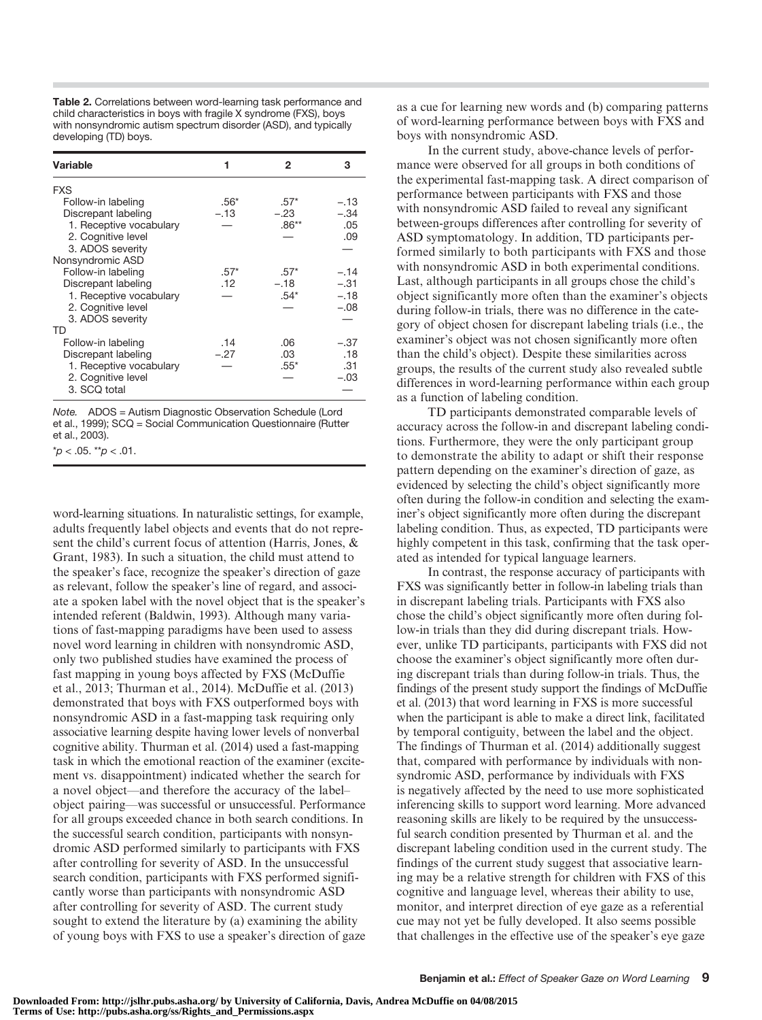Table 2. Correlations between word-learning task performance and child characteristics in boys with fragile X syndrome (FXS), boys with nonsyndromic autism spectrum disorder (ASD), and typically developing (TD) boys.

| Variable                |        | 2       | з      |
|-------------------------|--------|---------|--------|
| <b>FXS</b>              |        |         |        |
| Follow-in labeling      | $.56*$ | $.57*$  | $-.13$ |
| Discrepant labeling     | $-.13$ | $-.23$  | $-.34$ |
| 1. Receptive vocabulary |        | $.86**$ | .05    |
| 2. Cognitive level      |        |         | .09    |
| 3. ADOS severity        |        |         |        |
| Nonsyndromic ASD        |        |         |        |
| Follow-in labeling      | $.57*$ | $.57*$  | $-.14$ |
| Discrepant labeling     | .12    | $-.18$  | $-.31$ |
| 1. Receptive vocabulary |        | $.54*$  | $-.18$ |
| 2. Cognitive level      |        |         | $-.08$ |
| 3. ADOS severity        |        |         |        |
| TD                      |        |         |        |
| Follow-in labeling      | .14    | .06     | $-.37$ |
| Discrepant labeling     | $-.27$ | .03     | .18    |
| 1. Receptive vocabulary |        | $.55*$  | .31    |
| 2. Cognitive level      |        |         | $-.03$ |
| 3. SCQ total            |        |         |        |
|                         |        |         |        |

Note. ADOS = Autism Diagnostic Observation Schedule (Lord et al., 1999); SCQ = Social Communication Questionnaire (Rutter et al., 2003).

 $*$ *p* < .05.  $*$ *r* $p$  < .01.

word-learning situations. In naturalistic settings, for example, adults frequently label objects and events that do not represent the child's current focus of attention (Harris, Jones, & Grant, 1983). In such a situation, the child must attend to the speaker's face, recognize the speaker's direction of gaze as relevant, follow the speaker's line of regard, and associate a spoken label with the novel object that is the speaker's intended referent (Baldwin, 1993). Although many variations of fast-mapping paradigms have been used to assess novel word learning in children with nonsyndromic ASD, only two published studies have examined the process of fast mapping in young boys affected by FXS (McDuffie et al., 2013; Thurman et al., 2014). McDuffie et al. (2013) demonstrated that boys with FXS outperformed boys with nonsyndromic ASD in a fast-mapping task requiring only associative learning despite having lower levels of nonverbal cognitive ability. Thurman et al. (2014) used a fast-mapping task in which the emotional reaction of the examiner (excitement vs. disappointment) indicated whether the search for a novel object—and therefore the accuracy of the label– object pairing—was successful or unsuccessful. Performance for all groups exceeded chance in both search conditions. In the successful search condition, participants with nonsyndromic ASD performed similarly to participants with FXS after controlling for severity of ASD. In the unsuccessful search condition, participants with FXS performed significantly worse than participants with nonsyndromic ASD after controlling for severity of ASD. The current study sought to extend the literature by (a) examining the ability of young boys with FXS to use a speaker's direction of gaze as a cue for learning new words and (b) comparing patterns of word-learning performance between boys with FXS and boys with nonsyndromic ASD.

In the current study, above-chance levels of performance were observed for all groups in both conditions of the experimental fast-mapping task. A direct comparison of performance between participants with FXS and those with nonsyndromic ASD failed to reveal any significant between-groups differences after controlling for severity of ASD symptomatology. In addition, TD participants performed similarly to both participants with FXS and those with nonsyndromic ASD in both experimental conditions. Last, although participants in all groups chose the child's object significantly more often than the examiner's objects during follow-in trials, there was no difference in the category of object chosen for discrepant labeling trials (i.e., the examiner's object was not chosen significantly more often than the child's object). Despite these similarities across groups, the results of the current study also revealed subtle differences in word-learning performance within each group as a function of labeling condition.

TD participants demonstrated comparable levels of accuracy across the follow-in and discrepant labeling conditions. Furthermore, they were the only participant group to demonstrate the ability to adapt or shift their response pattern depending on the examiner's direction of gaze, as evidenced by selecting the child's object significantly more often during the follow-in condition and selecting the examiner's object significantly more often during the discrepant labeling condition. Thus, as expected, TD participants were highly competent in this task, confirming that the task operated as intended for typical language learners.

In contrast, the response accuracy of participants with FXS was significantly better in follow-in labeling trials than in discrepant labeling trials. Participants with FXS also chose the child's object significantly more often during follow-in trials than they did during discrepant trials. However, unlike TD participants, participants with FXS did not choose the examiner's object significantly more often during discrepant trials than during follow-in trials. Thus, the findings of the present study support the findings of McDuffie et al. (2013) that word learning in FXS is more successful when the participant is able to make a direct link, facilitated by temporal contiguity, between the label and the object. The findings of Thurman et al. (2014) additionally suggest that, compared with performance by individuals with nonsyndromic ASD, performance by individuals with FXS is negatively affected by the need to use more sophisticated inferencing skills to support word learning. More advanced reasoning skills are likely to be required by the unsuccessful search condition presented by Thurman et al. and the discrepant labeling condition used in the current study. The findings of the current study suggest that associative learning may be a relative strength for children with FXS of this cognitive and language level, whereas their ability to use, monitor, and interpret direction of eye gaze as a referential cue may not yet be fully developed. It also seems possible that challenges in the effective use of the speaker's eye gaze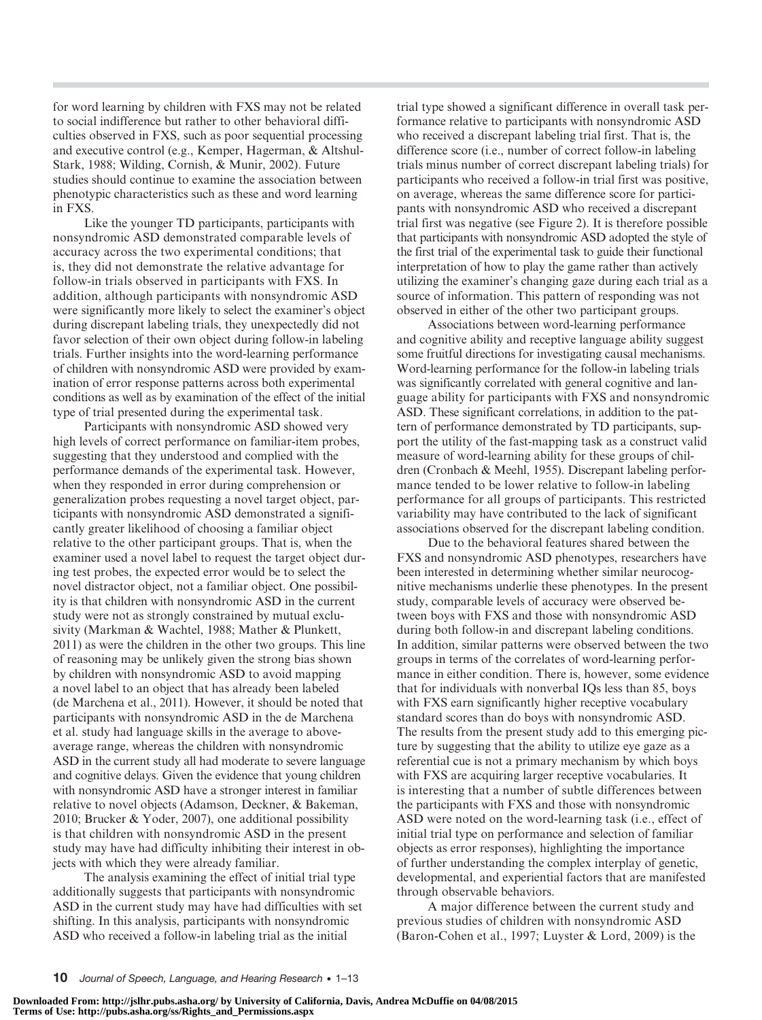for word learning by children with FXS may not be related to social indifference but rather to other behavioral difficulties observed in FXS, such as poor sequential processing and executive control (e.g., Kemper, Hagerman, & Altshul-Stark, 1988; Wilding, Cornish, & Munir, 2002). Future studies should continue to examine the association between phenotypic characteristics such as these and word learning in FXS.

Like the younger TD participants, participants with nonsyndromic ASD demonstrated comparable levels of accuracy across the two experimental conditions; that is, they did not demonstrate the relative advantage for follow-in trials observed in participants with FXS. In addition, although participants with nonsyndromic ASD were significantly more likely to select the examiner's object during discrepant labeling trials, they unexpectedly did not favor selection of their own object during follow-in labeling trials. Further insights into the word-learning performance of children with nonsyndromic ASD were provided by examination of error response patterns across both experimental conditions as well as by examination of the effect of the initial type of trial presented during the experimental task.

Participants with nonsyndromic ASD showed very high levels of correct performance on familiar-item probes, suggesting that they understood and complied with the performance demands of the experimental task. However, when they responded in error during comprehension or generalization probes requesting a novel target object, participants with nonsyndromic ASD demonstrated a significantly greater likelihood of choosing a familiar object relative to the other participant groups. That is, when the examiner used a novel label to request the target object during test probes, the expected error would be to select the novel distractor object, not a familiar object. One possibility is that children with nonsyndromic ASD in the current study were not as strongly constrained by mutual exclusivity (Markman & Wachtel, 1988; Mather & Plunkett, 2011) as were the children in the other two groups. This line of reasoning may be unlikely given the strong bias shown by children with nonsyndromic ASD to avoid mapping a novel label to an object that has already been labeled (de Marchena et al., 2011). However, it should be noted that participants with nonsyndromic ASD in the de Marchena et al. study had language skills in the average to aboveaverage range, whereas the children with nonsyndromic ASD in the current study all had moderate to severe language and cognitive delays. Given the evidence that young children with nonsyndromic ASD have a stronger interest in familiar relative to novel objects (Adamson, Deckner, & Bakeman, 2010; Brucker & Yoder, 2007), one additional possibility is that children with nonsyndromic ASD in the present study may have had difficulty inhibiting their interest in objects with which they were already familiar.

The analysis examining the effect of initial trial type additionally suggests that participants with nonsyndromic ASD in the current study may have had difficulties with set shifting. In this analysis, participants with nonsyndromic ASD who received a follow-in labeling trial as the initial

trial type showed a significant difference in overall task performance relative to participants with nonsyndromic ASD who received a discrepant labeling trial first. That is, the difference score (i.e., number of correct follow-in labeling trials minus number of correct discrepant labeling trials) for participants who received a follow-in trial first was positive, on average, whereas the same difference score for participants with nonsyndromic ASD who received a discrepant trial first was negative (see Figure 2). It is therefore possible that participants with nonsyndromic ASD adopted the style of the first trial of the experimental task to guide their functional interpretation of how to play the game rather than actively utilizing the examiner's changing gaze during each trial as a source of information. This pattern of responding was not observed in either of the other two participant groups.

Associations between word-learning performance and cognitive ability and receptive language ability suggest some fruitful directions for investigating causal mechanisms. Word-learning performance for the follow-in labeling trials was significantly correlated with general cognitive and language ability for participants with FXS and nonsyndromic ASD. These significant correlations, in addition to the pattern of performance demonstrated by TD participants, support the utility of the fast-mapping task as a construct valid measure of word-learning ability for these groups of children (Cronbach & Meehl, 1955). Discrepant labeling performance tended to be lower relative to follow-in labeling performance for all groups of participants. This restricted variability may have contributed to the lack of significant associations observed for the discrepant labeling condition.

Due to the behavioral features shared between the FXS and nonsyndromic ASD phenotypes, researchers have been interested in determining whether similar neurocognitive mechanisms underlie these phenotypes. In the present study, comparable levels of accuracy were observed between boys with FXS and those with nonsyndromic ASD during both follow-in and discrepant labeling conditions. In addition, similar patterns were observed between the two groups in terms of the correlates of word-learning performance in either condition. There is, however, some evidence that for individuals with nonverbal IQs less than 85, boys with FXS earn significantly higher receptive vocabulary standard scores than do boys with nonsyndromic ASD. The results from the present study add to this emerging picture by suggesting that the ability to utilize eye gaze as a referential cue is not a primary mechanism by which boys with FXS are acquiring larger receptive vocabularies. It is interesting that a number of subtle differences between the participants with FXS and those with nonsyndromic ASD were noted on the word-learning task (i.e., effect of initial trial type on performance and selection of familiar objects as error responses), highlighting the importance of further understanding the complex interplay of genetic, developmental, and experiential factors that are manifested through observable behaviors.

A major difference between the current study and previous studies of children with nonsyndromic ASD (Baron-Cohen et al., 1997; Luyster & Lord, 2009) is the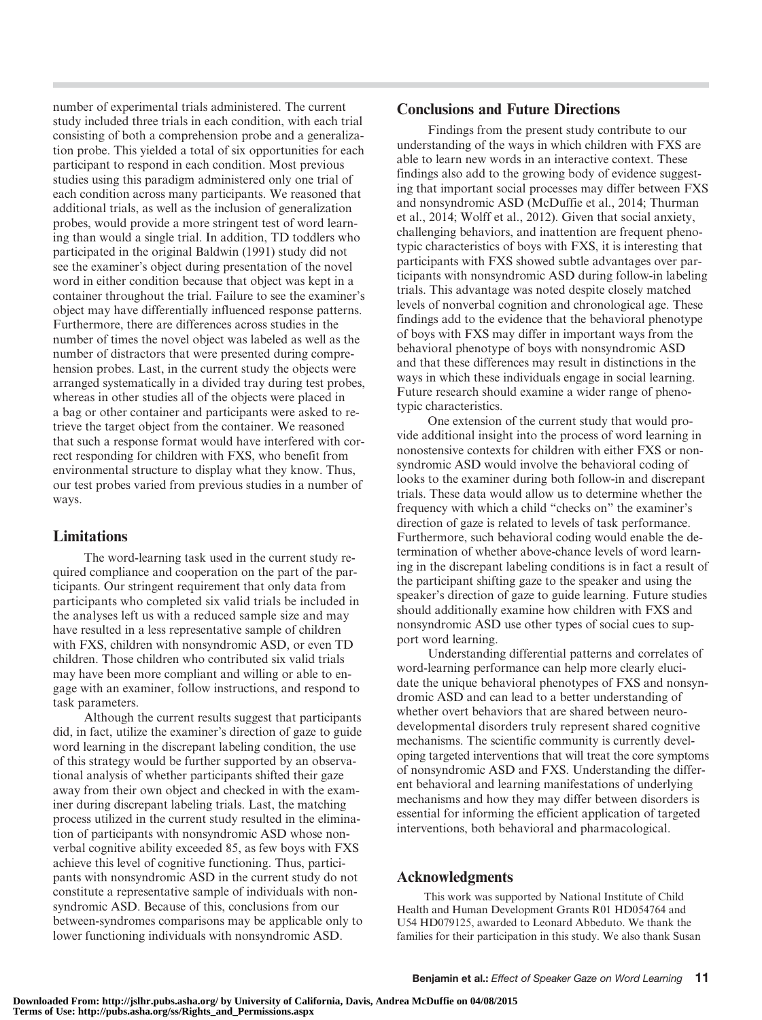number of experimental trials administered. The current study included three trials in each condition, with each trial consisting of both a comprehension probe and a generalization probe. This yielded a total of six opportunities for each participant to respond in each condition. Most previous studies using this paradigm administered only one trial of each condition across many participants. We reasoned that additional trials, as well as the inclusion of generalization probes, would provide a more stringent test of word learning than would a single trial. In addition, TD toddlers who participated in the original Baldwin (1991) study did not see the examiner's object during presentation of the novel word in either condition because that object was kept in a container throughout the trial. Failure to see the examiner's object may have differentially influenced response patterns. Furthermore, there are differences across studies in the number of times the novel object was labeled as well as the number of distractors that were presented during comprehension probes. Last, in the current study the objects were arranged systematically in a divided tray during test probes, whereas in other studies all of the objects were placed in a bag or other container and participants were asked to retrieve the target object from the container. We reasoned that such a response format would have interfered with correct responding for children with FXS, who benefit from environmental structure to display what they know. Thus, our test probes varied from previous studies in a number of ways.

# Limitations

The word-learning task used in the current study required compliance and cooperation on the part of the participants. Our stringent requirement that only data from participants who completed six valid trials be included in the analyses left us with a reduced sample size and may have resulted in a less representative sample of children with FXS, children with nonsyndromic ASD, or even TD children. Those children who contributed six valid trials may have been more compliant and willing or able to engage with an examiner, follow instructions, and respond to task parameters.

Although the current results suggest that participants did, in fact, utilize the examiner's direction of gaze to guide word learning in the discrepant labeling condition, the use of this strategy would be further supported by an observational analysis of whether participants shifted their gaze away from their own object and checked in with the examiner during discrepant labeling trials. Last, the matching process utilized in the current study resulted in the elimination of participants with nonsyndromic ASD whose nonverbal cognitive ability exceeded 85, as few boys with FXS achieve this level of cognitive functioning. Thus, participants with nonsyndromic ASD in the current study do not constitute a representative sample of individuals with nonsyndromic ASD. Because of this, conclusions from our between-syndromes comparisons may be applicable only to lower functioning individuals with nonsyndromic ASD.

# Conclusions and Future Directions

Findings from the present study contribute to our understanding of the ways in which children with FXS are able to learn new words in an interactive context. These findings also add to the growing body of evidence suggesting that important social processes may differ between FXS and nonsyndromic ASD (McDuffie et al., 2014; Thurman et al., 2014; Wolff et al., 2012). Given that social anxiety, challenging behaviors, and inattention are frequent phenotypic characteristics of boys with FXS, it is interesting that participants with FXS showed subtle advantages over participants with nonsyndromic ASD during follow-in labeling trials. This advantage was noted despite closely matched levels of nonverbal cognition and chronological age. These findings add to the evidence that the behavioral phenotype of boys with FXS may differ in important ways from the behavioral phenotype of boys with nonsyndromic ASD and that these differences may result in distinctions in the ways in which these individuals engage in social learning. Future research should examine a wider range of phenotypic characteristics.

One extension of the current study that would provide additional insight into the process of word learning in nonostensive contexts for children with either FXS or nonsyndromic ASD would involve the behavioral coding of looks to the examiner during both follow-in and discrepant trials. These data would allow us to determine whether the frequency with which a child "checks on" the examiner's direction of gaze is related to levels of task performance. Furthermore, such behavioral coding would enable the determination of whether above-chance levels of word learning in the discrepant labeling conditions is in fact a result of the participant shifting gaze to the speaker and using the speaker's direction of gaze to guide learning. Future studies should additionally examine how children with FXS and nonsyndromic ASD use other types of social cues to support word learning.

Understanding differential patterns and correlates of word-learning performance can help more clearly elucidate the unique behavioral phenotypes of FXS and nonsyndromic ASD and can lead to a better understanding of whether overt behaviors that are shared between neurodevelopmental disorders truly represent shared cognitive mechanisms. The scientific community is currently developing targeted interventions that will treat the core symptoms of nonsyndromic ASD and FXS. Understanding the different behavioral and learning manifestations of underlying mechanisms and how they may differ between disorders is essential for informing the efficient application of targeted interventions, both behavioral and pharmacological.

# Acknowledgments

This work was supported by National Institute of Child Health and Human Development Grants R01 HD054764 and U54 HD079125, awarded to Leonard Abbeduto. We thank the families for their participation in this study. We also thank Susan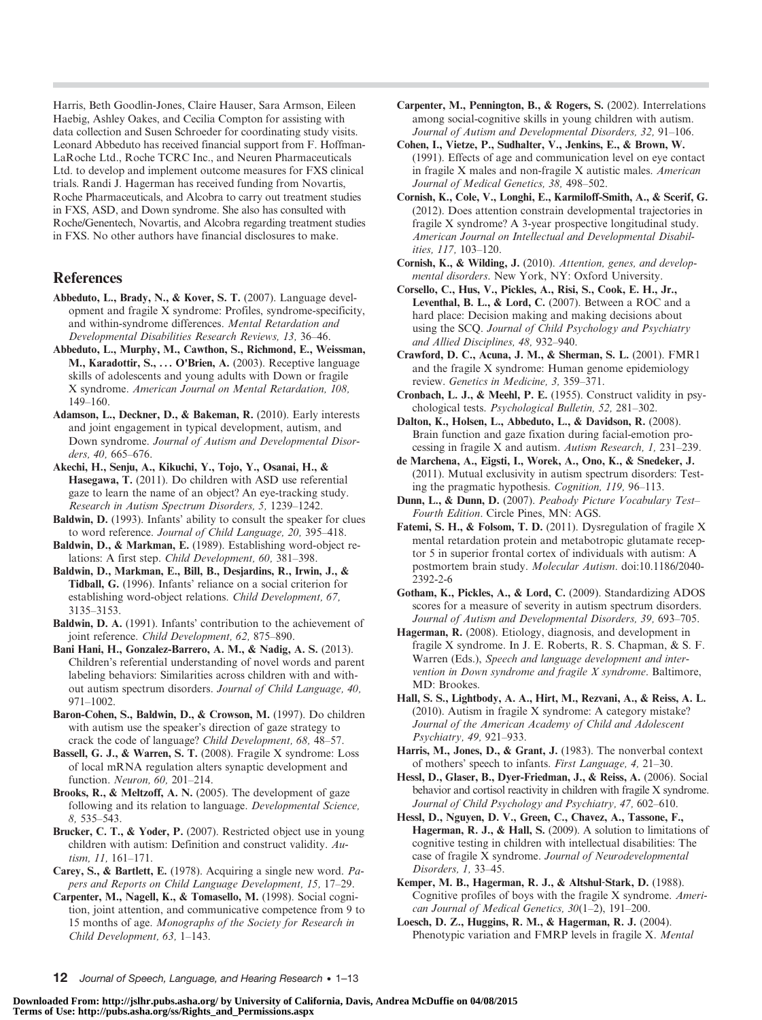Harris, Beth Goodlin-Jones, Claire Hauser, Sara Armson, Eileen Haebig, Ashley Oakes, and Cecilia Compton for assisting with data collection and Susen Schroeder for coordinating study visits. Leonard Abbeduto has received financial support from F. Hoffman-LaRoche Ltd., Roche TCRC Inc., and Neuren Pharmaceuticals Ltd. to develop and implement outcome measures for FXS clinical trials. Randi J. Hagerman has received funding from Novartis, Roche Pharmaceuticals, and Alcobra to carry out treatment studies in FXS, ASD, and Down syndrome. She also has consulted with Roche/Genentech, Novartis, and Alcobra regarding treatment studies in FXS. No other authors have financial disclosures to make.

## References

- Abbeduto, L., Brady, N., & Kover, S. T. (2007). Language development and fragile X syndrome: Profiles, syndrome-specificity, and within-syndrome differences. Mental Retardation and Developmental Disabilities Research Reviews, 13, 36–46.
- Abbeduto, L., Murphy, M., Cawthon, S., Richmond, E., Weissman, M., Karadottir, S., ... O'Brien, A. (2003). Receptive language skills of adolescents and young adults with Down or fragile X syndrome. American Journal on Mental Retardation, 108, 149–160.
- Adamson, L., Deckner, D., & Bakeman, R. (2010). Early interests and joint engagement in typical development, autism, and Down syndrome. Journal of Autism and Developmental Disorders, 40, 665–676.
- Akechi, H., Senju, A., Kikuchi, Y., Tojo, Y., Osanai, H., & Hasegawa, T. (2011). Do children with ASD use referential gaze to learn the name of an object? An eye-tracking study. Research in Autism Spectrum Disorders, 5, 1239–1242.
- Baldwin, D. (1993). Infants' ability to consult the speaker for clues to word reference. Journal of Child Language, 20, 395–418.
- Baldwin, D., & Markman, E. (1989). Establishing word-object relations: A first step. Child Development, 60, 381–398.
- Baldwin, D., Markman, E., Bill, B., Desjardins, R., Irwin, J., & Tidball, G. (1996). Infants' reliance on a social criterion for establishing word-object relations. Child Development, 67, 3135–3153.
- Baldwin, D. A. (1991). Infants' contribution to the achievement of joint reference. Child Development, 62, 875–890.
- Bani Hani, H., Gonzalez-Barrero, A. M., & Nadig, A. S. (2013). Children's referential understanding of novel words and parent labeling behaviors: Similarities across children with and without autism spectrum disorders. Journal of Child Language, 40, 971–1002.
- Baron-Cohen, S., Baldwin, D., & Crowson, M. (1997). Do children with autism use the speaker's direction of gaze strategy to crack the code of language? Child Development, 68, 48–57.
- Bassell, G. J., & Warren, S. T. (2008). Fragile X syndrome: Loss of local mRNA regulation alters synaptic development and function. Neuron, 60, 201–214.
- Brooks, R., & Meltzoff, A. N. (2005). The development of gaze following and its relation to language. Developmental Science, 8, 535–543.
- Brucker, C. T., & Yoder, P. (2007). Restricted object use in young children with autism: Definition and construct validity. Autism, 11, 161–171.
- Carey, S., & Bartlett, E. (1978). Acquiring a single new word. Papers and Reports on Child Language Development, 15, 17–29.
- Carpenter, M., Nagell, K., & Tomasello, M. (1998). Social cognition, joint attention, and communicative competence from 9 to 15 months of age. Monographs of the Society for Research in Child Development, 63, 1–143.
- Carpenter, M., Pennington, B., & Rogers, S. (2002). Interrelations among social-cognitive skills in young children with autism. Journal of Autism and Developmental Disorders, 32, 91–106.
- Cohen, I., Vietze, P., Sudhalter, V., Jenkins, E., & Brown, W. (1991). Effects of age and communication level on eye contact in fragile X males and non-fragile X autistic males. American Journal of Medical Genetics, 38, 498–502.
- Cornish, K., Cole, V., Longhi, E., Karmiloff-Smith, A., & Scerif, G. (2012). Does attention constrain developmental trajectories in fragile X syndrome? A 3-year prospective longitudinal study. American Journal on Intellectual and Developmental Disabilities, 117, 103–120.
- Cornish, K., & Wilding, J. (2010). Attention, genes, and developmental disorders. New York, NY: Oxford University.
- Corsello, C., Hus, V., Pickles, A., Risi, S., Cook, E. H., Jr., Leventhal, B. L., & Lord, C. (2007). Between a ROC and a hard place: Decision making and making decisions about using the SCQ. Journal of Child Psychology and Psychiatry and Allied Disciplines, 48, 932–940.
- Crawford, D. C., Acuna, J. M., & Sherman, S. L. (2001). FMR1 and the fragile X syndrome: Human genome epidemiology review. Genetics in Medicine, 3, 359–371.
- Cronbach, L. J., & Meehl, P. E. (1955). Construct validity in psychological tests. Psychological Bulletin, 52, 281–302.
- Dalton, K., Holsen, L., Abbeduto, L., & Davidson, R. (2008). Brain function and gaze fixation during facial-emotion processing in fragile X and autism. Autism Research, 1, 231–239.
- de Marchena, A., Eigsti, I., Worek, A., Ono, K., & Snedeker, J. (2011). Mutual exclusivity in autism spectrum disorders: Testing the pragmatic hypothesis. Cognition, 119, 96–113.
- Dunn, L., & Dunn, D. (2007). Peabody Picture Vocabulary Test– Fourth Edition. Circle Pines, MN: AGS.
- Fatemi, S. H., & Folsom, T. D. (2011). Dysregulation of fragile X mental retardation protein and metabotropic glutamate receptor 5 in superior frontal cortex of individuals with autism: A postmortem brain study. Molecular Autism. doi:10.1186/2040- 2392-2-6
- Gotham, K., Pickles, A., & Lord, C. (2009). Standardizing ADOS scores for a measure of severity in autism spectrum disorders. Journal of Autism and Developmental Disorders, 39, 693–705.
- Hagerman, R. (2008). Etiology, diagnosis, and development in fragile X syndrome. In J. E. Roberts, R. S. Chapman, & S. F. Warren (Eds.), Speech and language development and intervention in Down syndrome and fragile X syndrome. Baltimore, MD: Brookes.
- Hall, S. S., Lightbody, A. A., Hirt, M., Rezvani, A., & Reiss, A. L. (2010). Autism in fragile X syndrome: A category mistake? Journal of the American Academy of Child and Adolescent Psychiatry, 49, 921–933.
- Harris, M., Jones, D., & Grant, J. (1983). The nonverbal context of mothers' speech to infants. First Language, 4, 21–30.
- Hessl, D., Glaser, B., Dyer-Friedman, J., & Reiss, A. (2006). Social behavior and cortisol reactivity in children with fragile X syndrome. Journal of Child Psychology and Psychiatry, 47, 602–610.
- Hessl, D., Nguyen, D. V., Green, C., Chavez, A., Tassone, F., Hagerman, R. J., & Hall, S. (2009). A solution to limitations of cognitive testing in children with intellectual disabilities: The case of fragile X syndrome. Journal of Neurodevelopmental Disorders, 1, 33–45.
- Kemper, M. B., Hagerman, R. J., & Altshul‐Stark, D. (1988). Cognitive profiles of boys with the fragile X syndrome. American Journal of Medical Genetics, 30(1–2), 191–200.
- Loesch, D. Z., Huggins, R. M., & Hagerman, R. J. (2004). Phenotypic variation and FMRP levels in fragile X. Mental
- 12 Journal of Speech, Language, and Hearing Research 1-13